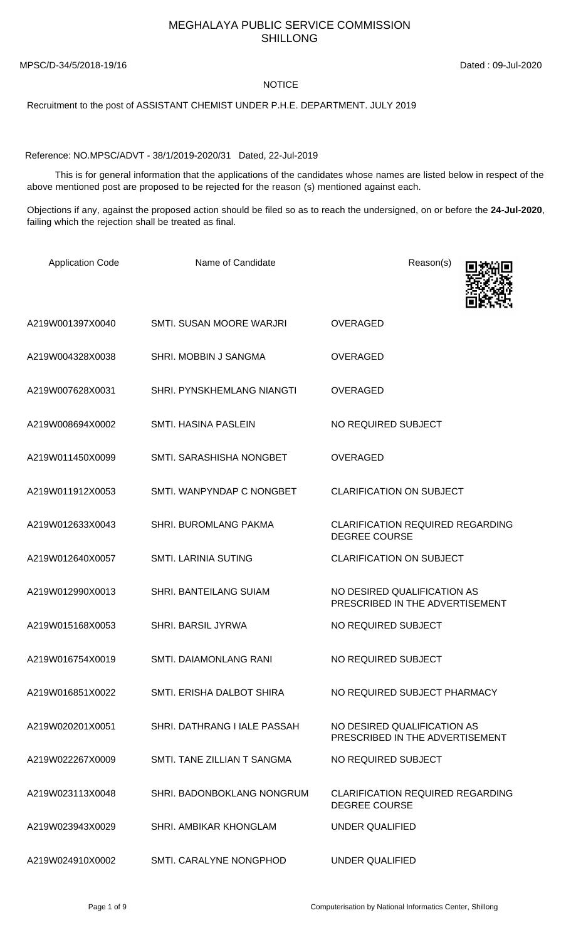## MEGHALAYA PUBLIC SERVICE COMMISSION SHILLONG

MPSC/D-34/5/2018-19/16 Dated : 09-Jul-2020

## NOTICE

Recruitment to the post of ASSISTANT CHEMIST UNDER P.H.E. DEPARTMENT. JULY 2019

Reference: NO.MPSC/ADVT - 38/1/2019-2020/31 Dated, 22-Jul-2019

 This is for general information that the applications of the candidates whose names are listed below in respect of the above mentioned post are proposed to be rejected for the reason (s) mentioned against each.

Objections if any, against the proposed action should be filed so as to reach the undersigned, on or before the **24-Jul-2020**, failing which the rejection shall be treated as final.

| <b>Application Code</b> | Name of Candidate            | Reason(s)                                                       |
|-------------------------|------------------------------|-----------------------------------------------------------------|
| A219W001397X0040        | SMTI, SUSAN MOORE WARJRI     | <b>OVERAGED</b>                                                 |
| A219W004328X0038        | SHRI. MOBBIN J SANGMA        | <b>OVERAGED</b>                                                 |
| A219W007628X0031        | SHRI. PYNSKHEMLANG NIANGTI   | <b>OVERAGED</b>                                                 |
| A219W008694X0002        | SMTI. HASINA PASLEIN         | NO REQUIRED SUBJECT                                             |
| A219W011450X0099        | SMTI. SARASHISHA NONGBET     | <b>OVERAGED</b>                                                 |
| A219W011912X0053        | SMTI. WANPYNDAP C NONGBET    | <b>CLARIFICATION ON SUBJECT</b>                                 |
| A219W012633X0043        | SHRI. BUROMLANG PAKMA        | <b>CLARIFICATION REQUIRED REGARDING</b><br><b>DEGREE COURSE</b> |
| A219W012640X0057        | <b>SMTI. LARINIA SUTING</b>  | <b>CLARIFICATION ON SUBJECT</b>                                 |
| A219W012990X0013        | SHRI. BANTEILANG SUIAM       | NO DESIRED QUALIFICATION AS<br>PRESCRIBED IN THE ADVERTISEMENT  |
| A219W015168X0053        | SHRI. BARSIL JYRWA           | NO REQUIRED SUBJECT                                             |
| A219W016754X0019        | SMTI. DAIAMONLANG RANI       | NO REQUIRED SUBJECT                                             |
| A219W016851X0022        | SMTI. ERISHA DALBOT SHIRA    | NO REQUIRED SUBJECT PHARMACY                                    |
| A219W020201X0051        | SHRI, DATHRANG I IALE PASSAH | NO DESIRED QUALIFICATION AS<br>PRESCRIBED IN THE ADVERTISEMENT  |
| A219W022267X0009        | SMTI. TANE ZILLIAN T SANGMA  | NO REQUIRED SUBJECT                                             |
| A219W023113X0048        | SHRI. BADONBOKLANG NONGRUM   | <b>CLARIFICATION REQUIRED REGARDING</b><br><b>DEGREE COURSE</b> |
| A219W023943X0029        | SHRI. AMBIKAR KHONGLAM       | UNDER QUALIFIED                                                 |
| A219W024910X0002        | SMTI. CARALYNE NONGPHOD      | UNDER QUALIFIED                                                 |

Page 1 of 9 Computerisation by National Informatics Center, Shillong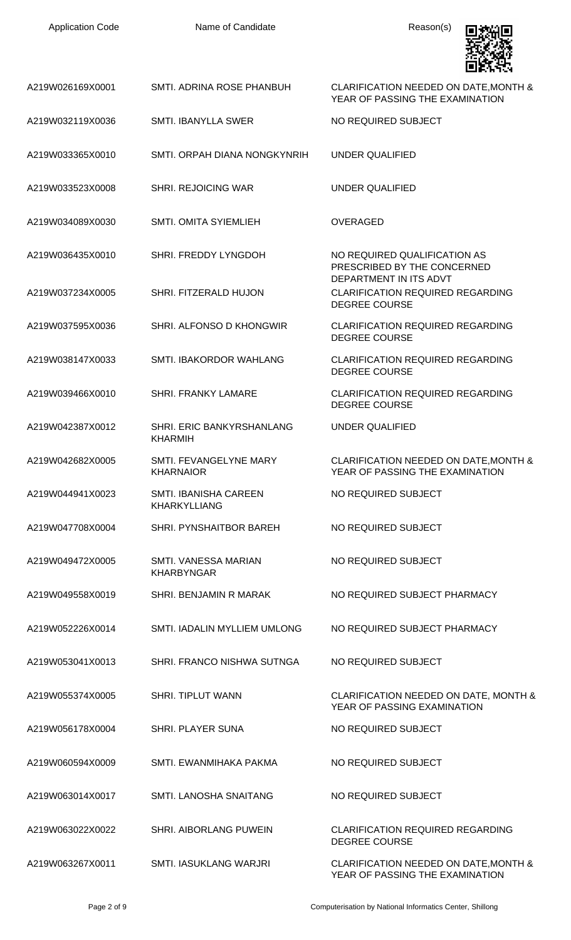

| A219W026169X0001 | SMTI. ADRINA ROSE PHANBUH                    | CLARIFICATION NEEDED ON DATE, MONTH &<br>YEAR OF PASSING THE EXAMINATION           |
|------------------|----------------------------------------------|------------------------------------------------------------------------------------|
| A219W032119X0036 | <b>SMTI. IBANYLLA SWER</b>                   | NO REQUIRED SUBJECT                                                                |
| A219W033365X0010 | SMTI. ORPAH DIANA NONGKYNRIH                 | <b>UNDER QUALIFIED</b>                                                             |
| A219W033523X0008 | <b>SHRI. REJOICING WAR</b>                   | <b>UNDER QUALIFIED</b>                                                             |
| A219W034089X0030 | SMTI. OMITA SYIEMLIEH                        | <b>OVERAGED</b>                                                                    |
| A219W036435X0010 | SHRI. FREDDY LYNGDOH                         | NO REQUIRED QUALIFICATION AS<br>PRESCRIBED BY THE CONCERNED                        |
| A219W037234X0005 | SHRI. FITZERALD HUJON                        | DEPARTMENT IN ITS ADVT<br>CLARIFICATION REQUIRED REGARDING<br><b>DEGREE COURSE</b> |
| A219W037595X0036 | SHRI. ALFONSO D KHONGWIR                     | <b>CLARIFICATION REQUIRED REGARDING</b><br><b>DEGREE COURSE</b>                    |
| A219W038147X0033 | SMTI. IBAKORDOR WAHLANG                      | <b>CLARIFICATION REQUIRED REGARDING</b><br><b>DEGREE COURSE</b>                    |
| A219W039466X0010 | <b>SHRI. FRANKY LAMARE</b>                   | <b>CLARIFICATION REQUIRED REGARDING</b><br><b>DEGREE COURSE</b>                    |
| A219W042387X0012 | SHRI. ERIC BANKYRSHANLANG<br><b>KHARMIH</b>  | <b>UNDER QUALIFIED</b>                                                             |
| A219W042682X0005 | SMTI. FEVANGELYNE MARY<br><b>KHARNAIOR</b>   | CLARIFICATION NEEDED ON DATE, MONTH &<br>YEAR OF PASSING THE EXAMINATION           |
| A219W044941X0023 | SMTI. IBANISHA CAREEN<br><b>KHARKYLLIANG</b> | NO REQUIRED SUBJECT                                                                |
| A219W047708X0004 | SHRI. PYNSHAITBOR BAREH                      | NO REQUIRED SUBJECT                                                                |
| A219W049472X0005 | SMTI. VANESSA MARIAN<br><b>KHARBYNGAR</b>    | NO REQUIRED SUBJECT                                                                |
| A219W049558X0019 | SHRI. BENJAMIN R MARAK                       | NO REQUIRED SUBJECT PHARMACY                                                       |
| A219W052226X0014 | SMTI. IADALIN MYLLIEM UMLONG                 | NO REQUIRED SUBJECT PHARMACY                                                       |
| A219W053041X0013 | SHRI. FRANCO NISHWA SUTNGA                   | NO REQUIRED SUBJECT                                                                |
| A219W055374X0005 | <b>SHRI. TIPLUT WANN</b>                     | CLARIFICATION NEEDED ON DATE, MONTH &<br>YEAR OF PASSING EXAMINATION               |
| A219W056178X0004 | <b>SHRI. PLAYER SUNA</b>                     | NO REQUIRED SUBJECT                                                                |
| A219W060594X0009 | SMTI. EWANMIHAKA PAKMA                       | NO REQUIRED SUBJECT                                                                |
| A219W063014X0017 | <b>SMTI. LANOSHA SNAITANG</b>                | NO REQUIRED SUBJECT                                                                |
| A219W063022X0022 | SHRI. AIBORLANG PUWEIN                       | <b>CLARIFICATION REQUIRED REGARDING</b><br><b>DEGREE COURSE</b>                    |
| A219W063267X0011 | SMTI. IASUKLANG WARJRI                       | CLARIFICATION NEEDED ON DATE, MONTH &<br>YEAR OF PASSING THE EXAMINATION           |

Page 2 of 9 Computerisation by National Informatics Center, Shillong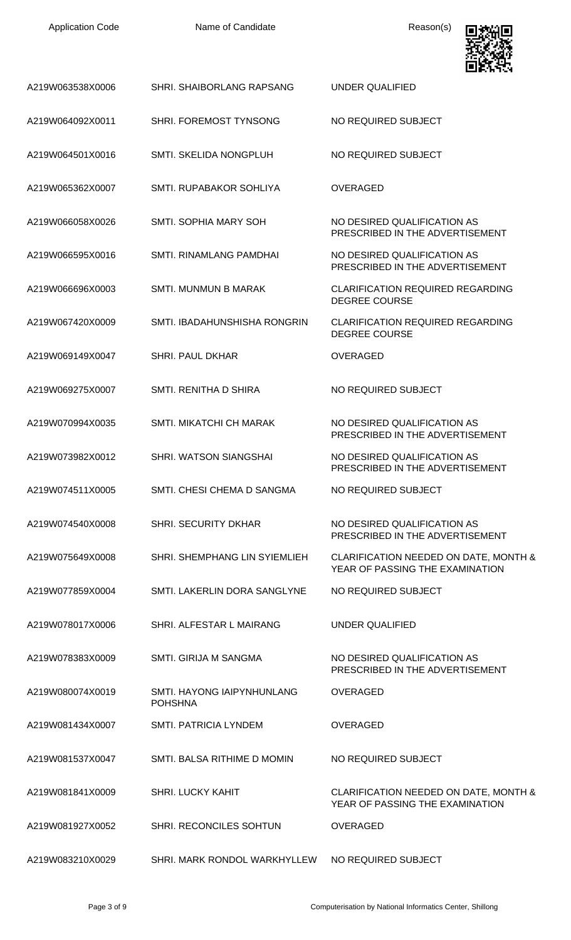| <b>Application Code</b> | Name of Candidate                                | Reason(s)                                                                |
|-------------------------|--------------------------------------------------|--------------------------------------------------------------------------|
| A219W063538X0006        | <b>SHRI, SHAIBORLANG RAPSANG</b>                 | UNDER QUALIFIED                                                          |
| A219W064092X0011        | SHRI. FOREMOST TYNSONG                           | NO REQUIRED SUBJECT                                                      |
| A219W064501X0016        | SMTI. SKELIDA NONGPLUH                           | NO REQUIRED SUBJECT                                                      |
| A219W065362X0007        | SMTI. RUPABAKOR SOHLIYA                          | <b>OVERAGED</b>                                                          |
| A219W066058X0026        | SMTI. SOPHIA MARY SOH                            | NO DESIRED QUALIFICATION AS<br>PRESCRIBED IN THE ADVERTISEMENT           |
| A219W066595X0016        | SMTI. RINAMLANG PAMDHAI                          | NO DESIRED QUALIFICATION AS<br>PRESCRIBED IN THE ADVERTISEMENT           |
| A219W066696X0003        | <b>SMTI. MUNMUN B MARAK</b>                      | <b>CLARIFICATION REQUIRED REGARDING</b><br><b>DEGREE COURSE</b>          |
| A219W067420X0009        | SMTI. IBADAHUNSHISHA RONGRIN                     | <b>CLARIFICATION REQUIRED REGARDING</b><br><b>DEGREE COURSE</b>          |
| A219W069149X0047        | <b>SHRI. PAUL DKHAR</b>                          | <b>OVERAGED</b>                                                          |
| A219W069275X0007        | SMTI, RENITHA D SHIRA                            | NO REQUIRED SUBJECT                                                      |
| A219W070994X0035        | SMTI. MIKATCHI CH MARAK                          | NO DESIRED QUALIFICATION AS<br>PRESCRIBED IN THE ADVERTISEMENT           |
| A219W073982X0012        | SHRI. WATSON SIANGSHAI                           | NO DESIRED QUALIFICATION AS<br>PRESCRIBED IN THE ADVERTISEMENT           |
| A219W074511X0005        | SMTI. CHESI CHEMA D SANGMA                       | NO REQUIRED SUBJECT                                                      |
| A219W074540X0008        | SHRI. SECURITY DKHAR                             | NO DESIRED QUALIFICATION AS<br>PRESCRIBED IN THE ADVERTISEMENT           |
| A219W075649X0008        | SHRI. SHEMPHANG LIN SYIEMLIEH                    | CLARIFICATION NEEDED ON DATE, MONTH &<br>YEAR OF PASSING THE EXAMINATION |
| A219W077859X0004        | SMTI. LAKERLIN DORA SANGLYNE                     | NO REQUIRED SUBJECT                                                      |
| A219W078017X0006        | SHRI. ALFESTAR L MAIRANG                         | <b>UNDER QUALIFIED</b>                                                   |
| A219W078383X0009        | <b>SMTI. GIRIJA M SANGMA</b>                     | NO DESIRED QUALIFICATION AS<br>PRESCRIBED IN THE ADVERTISEMENT           |
| A219W080074X0019        | SMTI. HAYONG IAIPYNHUNLANG<br><b>POHSHNA</b>     | <b>OVERAGED</b>                                                          |
| A219W081434X0007        | <b>SMTI. PATRICIA LYNDEM</b>                     | <b>OVERAGED</b>                                                          |
| A219W081537X0047        | SMTI. BALSA RITHIME D MOMIN                      | NO REQUIRED SUBJECT                                                      |
| A219W081841X0009        | <b>SHRI. LUCKY KAHIT</b>                         | CLARIFICATION NEEDED ON DATE, MONTH &<br>YEAR OF PASSING THE EXAMINATION |
| A219W081927X0052        | <b>SHRI. RECONCILES SOHTUN</b>                   | OVERAGED                                                                 |
| A219W083210X0029        | SHRI. MARK RONDOL WARKHYLLEW NO REQUIRED SUBJECT |                                                                          |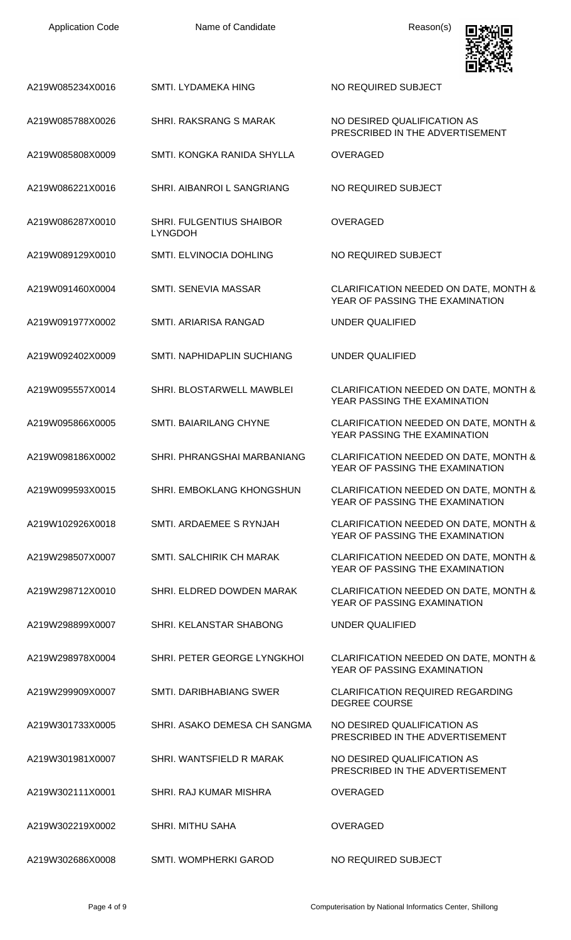| <b>Application Code</b> | Name of Candidate                          | Reason(s)                                                                |
|-------------------------|--------------------------------------------|--------------------------------------------------------------------------|
| A219W085234X0016        | SMTI. LYDAMEKA HING                        | NO REQUIRED SUBJECT                                                      |
| A219W085788X0026        | SHRI. RAKSRANG S MARAK                     | NO DESIRED QUALIFICATION AS<br>PRESCRIBED IN THE ADVERTISEMENT           |
| A219W085808X0009        | SMTI. KONGKA RANIDA SHYLLA                 | <b>OVERAGED</b>                                                          |
| A219W086221X0016        | SHRI. AIBANROI L SANGRIANG                 | NO REQUIRED SUBJECT                                                      |
| A219W086287X0010        | SHRI. FULGENTIUS SHAIBOR<br><b>LYNGDOH</b> | <b>OVERAGED</b>                                                          |
| A219W089129X0010        | <b>SMTI. ELVINOCIA DOHLING</b>             | NO REQUIRED SUBJECT                                                      |
| A219W091460X0004        | SMTI. SENEVIA MASSAR                       | CLARIFICATION NEEDED ON DATE, MONTH &<br>YEAR OF PASSING THE EXAMINATION |
| A219W091977X0002        | SMTI. ARIARISA RANGAD                      | <b>UNDER QUALIFIED</b>                                                   |
| A219W092402X0009        | SMTI. NAPHIDAPLIN SUCHIANG                 | <b>UNDER QUALIFIED</b>                                                   |
| A219W095557X0014        | SHRI. BLOSTARWELL MAWBLEI                  | CLARIFICATION NEEDED ON DATE, MONTH &<br>YEAR PASSING THE EXAMINATION    |
| A219W095866X0005        | SMTI. BAIARILANG CHYNE                     | CLARIFICATION NEEDED ON DATE, MONTH &<br>YEAR PASSING THE EXAMINATION    |
| A219W098186X0002        | SHRI, PHRANGSHAI MARBANIANG                | CLARIFICATION NEEDED ON DATE, MONTH &<br>YEAR OF PASSING THE EXAMINATION |
| A219W099593X0015        | <b>SHRI. EMBOKLANG KHONGSHUN</b>           | CLARIFICATION NEEDED ON DATE, MONTH &<br>YEAR OF PASSING THE EXAMINATION |
| A219W102926X0018        | SMTI, ARDAEMEE S RYNJAH                    | CLARIFICATION NEEDED ON DATE, MONTH &<br>YEAR OF PASSING THE EXAMINATION |
| A219W298507X0007        | SMTI, SALCHIRIK CH MARAK                   | CLARIFICATION NEEDED ON DATE, MONTH &<br>YEAR OF PASSING THE EXAMINATION |
| A219W298712X0010        | SHRI. ELDRED DOWDEN MARAK                  | CLARIFICATION NEEDED ON DATE, MONTH &<br>YEAR OF PASSING EXAMINATION     |
| A219W298899X0007        | SHRI. KELANSTAR SHABONG                    | <b>UNDER QUALIFIED</b>                                                   |
| A219W298978X0004        | SHRI. PETER GEORGE LYNGKHOL                | CLARIFICATION NEEDED ON DATE, MONTH &<br>YEAR OF PASSING EXAMINATION     |
| A219W299909X0007        | <b>SMTI, DARIBHABIANG SWER</b>             | <b>CLARIFICATION REQUIRED REGARDING</b><br><b>DEGREE COURSE</b>          |
| A219W301733X0005        | SHRI. ASAKO DEMESA CH SANGMA               | NO DESIRED QUALIFICATION AS<br>PRESCRIBED IN THE ADVERTISEMENT           |
| A219W301981X0007        | SHRI. WANTSFIELD R MARAK                   | NO DESIRED QUALIFICATION AS<br>PRESCRIBED IN THE ADVERTISEMENT           |
| A219W302111X0001        | <b>SHRI, RAJ KUMAR MISHRA</b>              | <b>OVERAGED</b>                                                          |
| A219W302219X0002        | <b>SHRI. MITHU SAHA</b>                    | <b>OVERAGED</b>                                                          |
| A219W302686X0008        | SMTI WOMPHERKI GAROD                       | NO REQUIRED SUBJECT                                                      |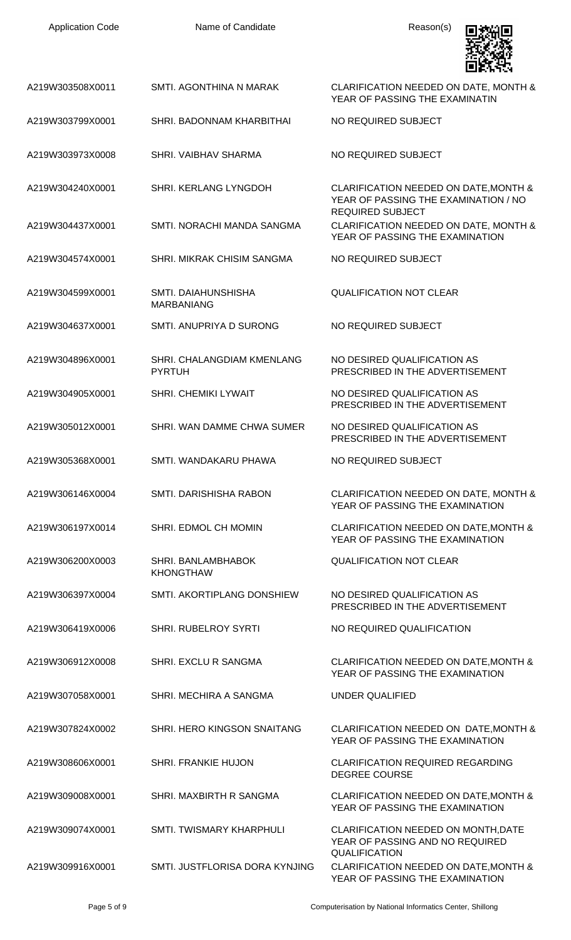| <b>Application Code</b> | Name of Candidate                           | Reason(s)                                                                                                |
|-------------------------|---------------------------------------------|----------------------------------------------------------------------------------------------------------|
| A219W303508X0011        | SMTI. AGONTHINA N MARAK                     | CLARIFICATION NEEDED ON DATE, MONTH &<br>YEAR OF PASSING THE EXAMINATIN                                  |
| A219W303799X0001        | SHRI. BADONNAM KHARBITHAI                   | NO REQUIRED SUBJECT                                                                                      |
| A219W303973X0008        | SHRI. VAIBHAV SHARMA                        | NO REQUIRED SUBJECT                                                                                      |
| A219W304240X0001        | SHRI. KERLANG LYNGDOH                       | CLARIFICATION NEEDED ON DATE, MONTH &<br>YEAR OF PASSING THE EXAMINATION / NO<br><b>REQUIRED SUBJECT</b> |
| A219W304437X0001        | SMTI. NORACHI MANDA SANGMA                  | CLARIFICATION NEEDED ON DATE, MONTH &<br>YEAR OF PASSING THE EXAMINATION                                 |
| A219W304574X0001        | SHRI. MIKRAK CHISIM SANGMA                  | NO REQUIRED SUBJECT                                                                                      |
| A219W304599X0001        | SMTI. DAIAHUNSHISHA<br><b>MARBANIANG</b>    | <b>QUALIFICATION NOT CLEAR</b>                                                                           |
| A219W304637X0001        | SMTI. ANUPRIYA D SURONG                     | NO REQUIRED SUBJECT                                                                                      |
| A219W304896X0001        | SHRI. CHALANGDIAM KMENLANG<br><b>PYRTUH</b> | NO DESIRED QUALIFICATION AS<br>PRESCRIBED IN THE ADVERTISEMENT                                           |
| A219W304905X0001        | SHRI. CHEMIKI LYWAIT                        | NO DESIRED QUALIFICATION AS<br>PRESCRIBED IN THE ADVERTISEMENT                                           |
| A219W305012X0001        | SHRI, WAN DAMME CHWA SUMER                  | NO DESIRED QUALIFICATION AS<br>PRESCRIBED IN THE ADVERTISEMENT                                           |
| A219W305368X0001        | SMTI. WANDAKARU PHAWA                       | NO REQUIRED SUBJECT                                                                                      |
| A219W306146X0004        | SMTI. DARISHISHA RABON                      | CLARIFICATION NEEDED ON DATE, MONTH &<br>YEAR OF PASSING THE EXAMINATION                                 |
| A219W306197X0014        | <b>SHRI. EDMOL CH MOMIN</b>                 | CLARIFICATION NEEDED ON DATE, MONTH &<br>YEAR OF PASSING THE EXAMINATION                                 |
| A219W306200X0003        | SHRI. BANLAMBHABOK<br><b>KHONGTHAW</b>      | <b>QUALIFICATION NOT CLEAR</b>                                                                           |
| A219W306397X0004        | SMTI. AKORTIPLANG DONSHIEW                  | NO DESIRED QUALIFICATION AS<br>PRESCRIBED IN THE ADVERTISEMENT                                           |
| A219W306419X0006        | <b>SHRI. RUBELROY SYRTI</b>                 | NO REQUIRED QUALIFICATION                                                                                |
| A219W306912X0008        | <b>SHRI. EXCLU R SANGMA</b>                 | CLARIFICATION NEEDED ON DATE, MONTH &<br>YEAR OF PASSING THE EXAMINATION                                 |
| A219W307058X0001        | SHRI. MECHIRA A SANGMA                      | UNDER QUALIFIED                                                                                          |
| A219W307824X0002        | SHRI. HERO KINGSON SNAITANG                 | CLARIFICATION NEEDED ON DATE, MONTH &<br>YEAR OF PASSING THE EXAMINATION                                 |
| A219W308606X0001        | <b>SHRI. FRANKIE HUJON</b>                  | <b>CLARIFICATION REQUIRED REGARDING</b><br><b>DEGREE COURSE</b>                                          |
| A219W309008X0001        | SHRI. MAXBIRTH R SANGMA                     | CLARIFICATION NEEDED ON DATE, MONTH &<br>YEAR OF PASSING THE EXAMINATION                                 |
| A219W309074X0001        | SMTI. TWISMARY KHARPHULI                    | CLARIFICATION NEEDED ON MONTH, DATE<br>YEAR OF PASSING AND NO REQUIRED<br>QUALIFICATION                  |
| A219W309916X0001        | SMTI. JUSTFLORISA DORA KYNJING              | CLARIFICATION NEEDED ON DATE, MONTH &<br>YEAR OF PASSING THE EXAMINATION                                 |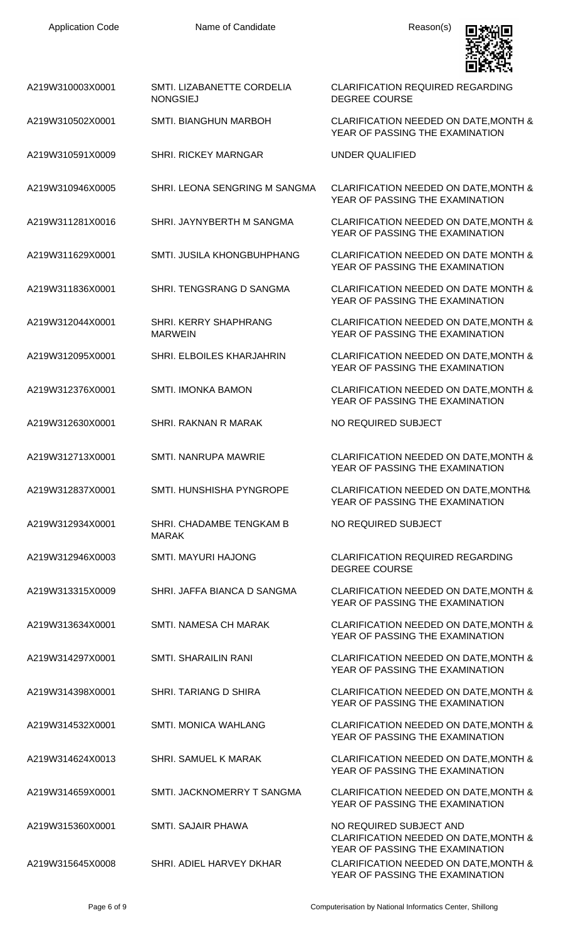

|                  |                                               | 6 F.N.Y                                                                                                     |
|------------------|-----------------------------------------------|-------------------------------------------------------------------------------------------------------------|
| A219W310003X0001 | SMTI. LIZABANETTE CORDELIA<br><b>NONGSIEJ</b> | CLARIFICATION REQUIRED REGARDING<br><b>DEGREE COURSE</b>                                                    |
| A219W310502X0001 | SMTI. BIANGHUN MARBOH                         | CLARIFICATION NEEDED ON DATE, MONTH &<br>YEAR OF PASSING THE EXAMINATION                                    |
| A219W310591X0009 | <b>SHRI. RICKEY MARNGAR</b>                   | <b>UNDER QUALIFIED</b>                                                                                      |
| A219W310946X0005 | SHRI. LEONA SENGRING M SANGMA                 | CLARIFICATION NEEDED ON DATE, MONTH &<br>YEAR OF PASSING THE EXAMINATION                                    |
| A219W311281X0016 | SHRI. JAYNYBERTH M SANGMA                     | CLARIFICATION NEEDED ON DATE, MONTH &<br>YEAR OF PASSING THE EXAMINATION                                    |
| A219W311629X0001 | SMTI. JUSILA KHONGBUHPHANG                    | <b>CLARIFICATION NEEDED ON DATE MONTH &amp;</b><br>YEAR OF PASSING THE EXAMINATION                          |
| A219W311836X0001 | SHRI. TENGSRANG D SANGMA                      | <b>CLARIFICATION NEEDED ON DATE MONTH &amp;</b><br>YEAR OF PASSING THE EXAMINATION                          |
| A219W312044X0001 | SHRI. KERRY SHAPHRANG<br><b>MARWEIN</b>       | CLARIFICATION NEEDED ON DATE, MONTH &<br>YEAR OF PASSING THE EXAMINATION                                    |
| A219W312095X0001 | SHRI. ELBOILES KHARJAHRIN                     | CLARIFICATION NEEDED ON DATE, MONTH &<br>YEAR OF PASSING THE EXAMINATION                                    |
| A219W312376X0001 | <b>SMTI. IMONKA BAMON</b>                     | CLARIFICATION NEEDED ON DATE, MONTH &<br>YEAR OF PASSING THE EXAMINATION                                    |
| A219W312630X0001 | SHRI. RAKNAN R MARAK                          | NO REQUIRED SUBJECT                                                                                         |
| A219W312713X0001 | <b>SMTI. NANRUPA MAWRIE</b>                   | CLARIFICATION NEEDED ON DATE, MONTH &<br>YEAR OF PASSING THE EXAMINATION                                    |
| A219W312837X0001 | SMTI. HUNSHISHA PYNGROPE                      | CLARIFICATION NEEDED ON DATE, MONTH&<br>YEAR OF PASSING THE EXAMINATION                                     |
| A219W312934X0001 | SHRI. CHADAMBE TENGKAM B<br><b>MARAK</b>      | NO REQUIRED SUBJECT                                                                                         |
| A219W312946X0003 | <b>SMTI. MAYURI HAJONG</b>                    | <b>CLARIFICATION REQUIRED REGARDING</b><br><b>DEGREE COURSE</b>                                             |
| A219W313315X0009 | SHRI. JAFFA BIANCA D SANGMA                   | CLARIFICATION NEEDED ON DATE, MONTH &<br>YEAR OF PASSING THE EXAMINATION                                    |
| A219W313634X0001 | <b>SMTI. NAMESA CH MARAK</b>                  | CLARIFICATION NEEDED ON DATE, MONTH &<br>YEAR OF PASSING THE EXAMINATION                                    |
| A219W314297X0001 | <b>SMTI. SHARAILIN RANI</b>                   | CLARIFICATION NEEDED ON DATE, MONTH &<br>YEAR OF PASSING THE EXAMINATION                                    |
| A219W314398X0001 | SHRI. TARIANG D SHIRA                         | CLARIFICATION NEEDED ON DATE, MONTH &<br>YEAR OF PASSING THE EXAMINATION                                    |
| A219W314532X0001 | <b>SMTI. MONICA WAHLANG</b>                   | CLARIFICATION NEEDED ON DATE, MONTH &<br>YEAR OF PASSING THE EXAMINATION                                    |
| A219W314624X0013 | SHRI. SAMUEL K MARAK                          | CLARIFICATION NEEDED ON DATE, MONTH &<br>YEAR OF PASSING THE EXAMINATION                                    |
| A219W314659X0001 | SMTI. JACKNOMERRY T SANGMA                    | CLARIFICATION NEEDED ON DATE, MONTH &<br>YEAR OF PASSING THE EXAMINATION                                    |
| A219W315360X0001 | SMTI. SAJAIR PHAWA                            | NO REQUIRED SUBJECT AND<br>CLARIFICATION NEEDED ON DATE, MONTH &                                            |
| A219W315645X0008 | SHRI. ADIEL HARVEY DKHAR                      | YEAR OF PASSING THE EXAMINATION<br>CLARIFICATION NEEDED ON DATE, MONTH &<br>YEAR OF PASSING THE EXAMINATION |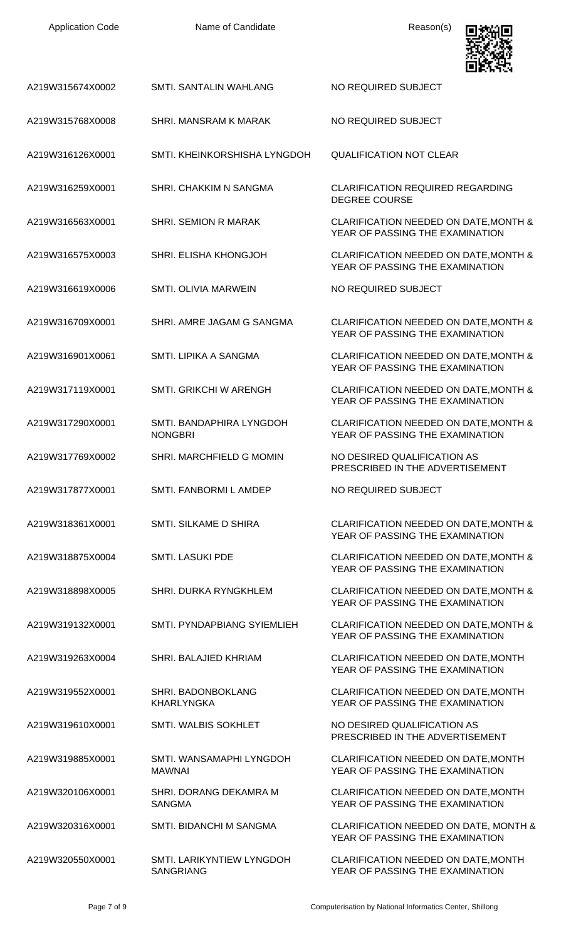| <b>Application Code</b> | Name of Candidate                          | Reason(s)                                                                |
|-------------------------|--------------------------------------------|--------------------------------------------------------------------------|
| A219W315674X0002        | SMTI. SANTALIN WAHLANG                     | NO REQUIRED SUBJECT                                                      |
| A219W315768X0008        | SHRI. MANSRAM K MARAK                      | NO REQUIRED SUBJECT                                                      |
| A219W316126X0001        | SMTI. KHEINKORSHISHA LYNGDOH               | <b>QUALIFICATION NOT CLEAR</b>                                           |
| A219W316259X0001        | SHRI. CHAKKIM N SANGMA                     | <b>CLARIFICATION REQUIRED REGARDING</b><br><b>DEGREE COURSE</b>          |
| A219W316563X0001        | SHRI. SEMION R MARAK                       | CLARIFICATION NEEDED ON DATE, MONTH &<br>YEAR OF PASSING THE EXAMINATION |
| A219W316575X0003        | SHRI. ELISHA KHONGJOH                      | CLARIFICATION NEEDED ON DATE, MONTH &<br>YEAR OF PASSING THE EXAMINATION |
| A219W316619X0006        | <b>SMTI. OLIVIA MARWEIN</b>                | NO REQUIRED SUBJECT                                                      |
| A219W316709X0001        | SHRI. AMRE JAGAM G SANGMA                  | CLARIFICATION NEEDED ON DATE, MONTH &<br>YEAR OF PASSING THE EXAMINATION |
| A219W316901X0061        | SMTI. LIPIKA A SANGMA                      | CLARIFICATION NEEDED ON DATE, MONTH &<br>YEAR OF PASSING THE EXAMINATION |
| A219W317119X0001        | SMTI. GRIKCHI W ARENGH                     | CLARIFICATION NEEDED ON DATE, MONTH &<br>YEAR OF PASSING THE EXAMINATION |
| A219W317290X0001        | SMTI. BANDAPHIRA LYNGDOH<br><b>NONGBRI</b> | CLARIFICATION NEEDED ON DATE, MONTH &<br>YEAR OF PASSING THE EXAMINATION |
| A219W317769X0002        | SHRI. MARCHFIELD G MOMIN                   | NO DESIRED QUALIFICATION AS<br>PRESCRIBED IN THE ADVERTISEMENT           |
| A219W317877X0001        | SMTI. FANBORMI L AMDEP                     | NO REQUIRED SUBJECT                                                      |
| A219W318361X0001        | SMTI. SILKAME D SHIRA                      | CLARIFICATION NEEDED ON DATE, MONTH &<br>YEAR OF PASSING THE EXAMINATION |
| A219W318875X0004        | <b>SMTI. LASUKI PDE</b>                    | CLARIFICATION NEEDED ON DATE, MONTH &<br>YEAR OF PASSING THE EXAMINATION |
| A219W318898X0005        | SHRI. DURKA RYNGKHLEM                      | CLARIFICATION NEEDED ON DATE, MONTH &<br>YEAR OF PASSING THE EXAMINATION |
| A219W319132X0001        | SMTI. PYNDAPBIANG SYIEMLIEH                | CLARIFICATION NEEDED ON DATE, MONTH &<br>YEAR OF PASSING THE EXAMINATION |
| A219W319263X0004        | SHRI. BALAJIED KHRIAM                      | CLARIFICATION NEEDED ON DATE, MONTH<br>YEAR OF PASSING THE EXAMINATION   |
| A219W319552X0001        | SHRI. BADONBOKLANG<br><b>KHARLYNGKA</b>    | CLARIFICATION NEEDED ON DATE, MONTH<br>YEAR OF PASSING THE EXAMINATION   |
| A219W319610X0001        | SMTI. WALBIS SOKHLET                       | NO DESIRED QUALIFICATION AS<br>PRESCRIBED IN THE ADVERTISEMENT           |
| A219W319885X0001        | SMTI. WANSAMAPHI LYNGDOH<br><b>MAWNAI</b>  | CLARIFICATION NEEDED ON DATE, MONTH<br>YEAR OF PASSING THE EXAMINATION   |
| A219W320106X0001        | SHRI. DORANG DEKAMRA M<br><b>SANGMA</b>    | CLARIFICATION NEEDED ON DATE, MONTH<br>YEAR OF PASSING THE EXAMINATION   |
| A219W320316X0001        | SMTI. BIDANCHI M SANGMA                    | CLARIFICATION NEEDED ON DATE, MONTH &<br>YEAR OF PASSING THE EXAMINATION |
| A219W320550X0001        | SMTI. LARIKYNTIEW LYNGDOH                  | CLARIFICATION NEEDED ON DATE, MONTH                                      |

SANGRIANG

YEAR OF PASSING THE EXAMINATION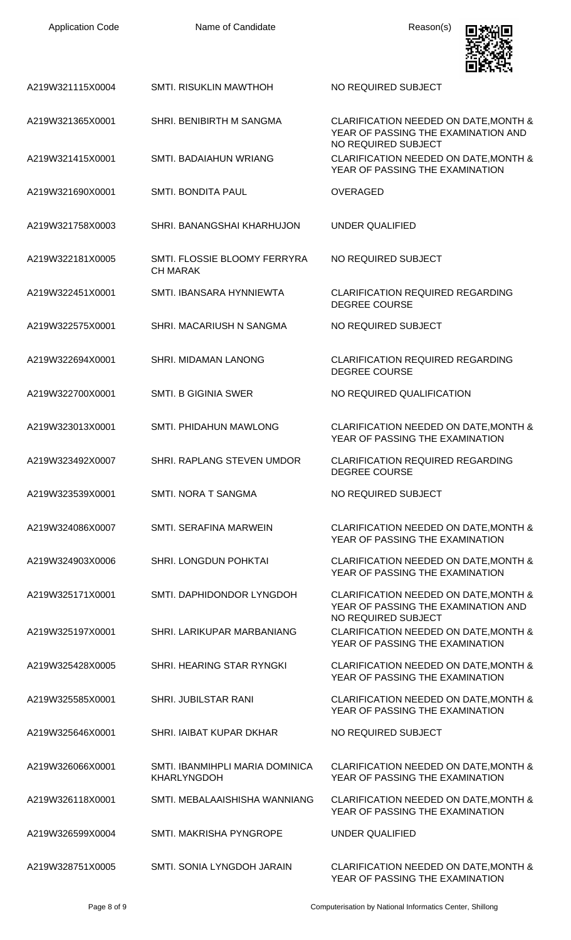| <b>Application Code</b> | Name of Candidate                                     | Reason(s)                                                                                           |
|-------------------------|-------------------------------------------------------|-----------------------------------------------------------------------------------------------------|
| A219W321115X0004        | <b>SMTI. RISUKLIN MAWTHOH</b>                         | NO REQUIRED SUBJECT                                                                                 |
| A219W321365X0001        | SHRI. BENIBIRTH M SANGMA                              | CLARIFICATION NEEDED ON DATE, MONTH &<br>YEAR OF PASSING THE EXAMINATION AND<br>NO REQUIRED SUBJECT |
| A219W321415X0001        | <b>SMTI. BADAIAHUN WRIANG</b>                         | CLARIFICATION NEEDED ON DATE, MONTH &<br>YEAR OF PASSING THE EXAMINATION                            |
| A219W321690X0001        | <b>SMTI. BONDITA PAUL</b>                             | <b>OVERAGED</b>                                                                                     |
| A219W321758X0003        | SHRI. BANANGSHAI KHARHUJON                            | <b>UNDER QUALIFIED</b>                                                                              |
| A219W322181X0005        | SMTI. FLOSSIE BLOOMY FERRYRA<br><b>CH MARAK</b>       | NO REQUIRED SUBJECT                                                                                 |
| A219W322451X0001        | SMTI. IBANSARA HYNNIEWTA                              | <b>CLARIFICATION REQUIRED REGARDING</b><br><b>DEGREE COURSE</b>                                     |
| A219W322575X0001        | SHRI. MACARIUSH N SANGMA                              | NO REQUIRED SUBJECT                                                                                 |
| A219W322694X0001        | <b>SHRI. MIDAMAN LANONG</b>                           | <b>CLARIFICATION REQUIRED REGARDING</b><br><b>DEGREE COURSE</b>                                     |
| A219W322700X0001        | <b>SMTI, B GIGINIA SWER</b>                           | NO REQUIRED QUALIFICATION                                                                           |
| A219W323013X0001        | <b>SMTI. PHIDAHUN MAWLONG</b>                         | CLARIFICATION NEEDED ON DATE, MONTH &<br>YEAR OF PASSING THE EXAMINATION                            |
| A219W323492X0007        | SHRI. RAPLANG STEVEN UMDOR                            | <b>CLARIFICATION REQUIRED REGARDING</b><br><b>DEGREE COURSE</b>                                     |
| A219W323539X0001        | SMTI. NORA T SANGMA                                   | NO REQUIRED SUBJECT                                                                                 |
| A219W324086X0007        | <b>SMTI. SERAFINA MARWEIN</b>                         | CLARIFICATION NEEDED ON DATE, MONTH &<br>YEAR OF PASSING THE EXAMINATION                            |
| A219W324903X0006        | SHRI. LONGDUN POHKTAI                                 | CLARIFICATION NEEDED ON DATE, MONTH &<br>YEAR OF PASSING THE EXAMINATION                            |
| A219W325171X0001        | SMTI. DAPHIDONDOR LYNGDOH                             | CLARIFICATION NEEDED ON DATE, MONTH &<br>YEAR OF PASSING THE EXAMINATION AND<br>NO REQUIRED SUBJECT |
| A219W325197X0001        | SHRI. LARIKUPAR MARBANIANG                            | CLARIFICATION NEEDED ON DATE, MONTH &<br>YEAR OF PASSING THE EXAMINATION                            |
| A219W325428X0005        | SHRI. HEARING STAR RYNGKI                             | CLARIFICATION NEEDED ON DATE, MONTH &<br>YEAR OF PASSING THE EXAMINATION                            |
| A219W325585X0001        | SHRI. JUBILSTAR RANI                                  | CLARIFICATION NEEDED ON DATE, MONTH &<br>YEAR OF PASSING THE EXAMINATION                            |
| A219W325646X0001        | SHRI. IAIBAT KUPAR DKHAR                              | NO REQUIRED SUBJECT                                                                                 |
| A219W326066X0001        | SMTI. IBANMIHPLI MARIA DOMINICA<br><b>KHARLYNGDOH</b> | CLARIFICATION NEEDED ON DATE, MONTH &<br>YEAR OF PASSING THE EXAMINATION                            |
| A219W326118X0001        | SMTI. MEBALAAISHISHA WANNIANG                         | CLARIFICATION NEEDED ON DATE, MONTH &<br>YEAR OF PASSING THE EXAMINATION                            |
| A219W326599X0004        | SMTI. MAKRISHA PYNGROPE                               | UNDER QUALIFIED                                                                                     |
| A219W328751X0005        | SMTI. SONIA LYNGDOH JARAIN                            | CLARIFICATION NEEDED ON DATE, MONTH &<br>YEAR OF PASSING THE EXAMINATION                            |